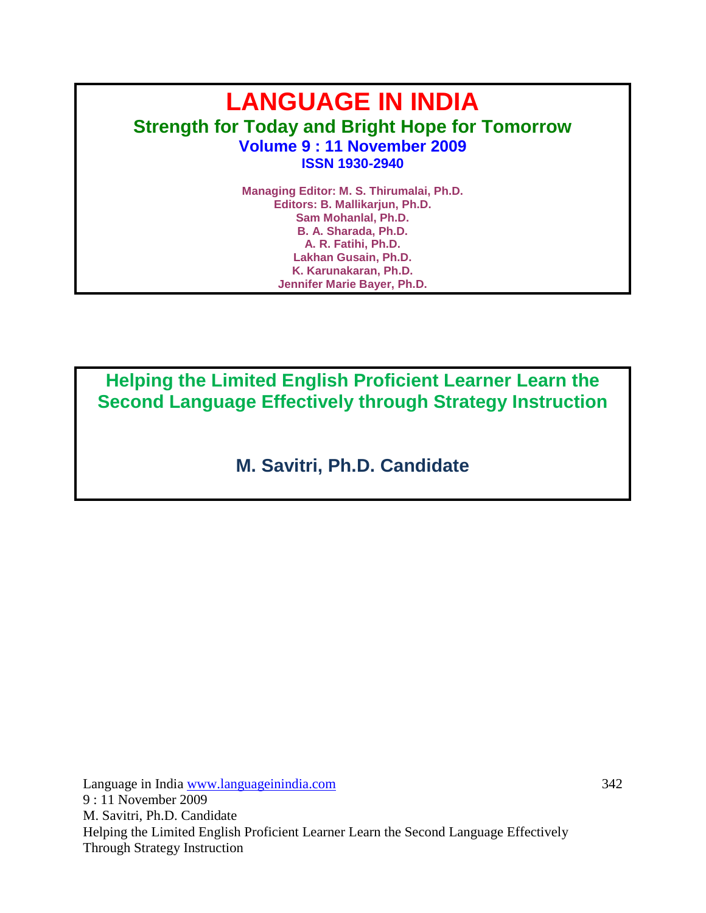# **LANGUAGE IN INDIA Strength for Today and Bright Hope for Tomorrow Volume 9 : 11 November 2009 ISSN 1930-2940**

**Managing Editor: M. S. Thirumalai, Ph.D. Editors: B. Mallikarjun, Ph.D. Sam Mohanlal, Ph.D. B. A. Sharada, Ph.D. A. R. Fatihi, Ph.D. Lakhan Gusain, Ph.D. K. Karunakaran, Ph.D. Jennifer Marie Bayer, Ph.D.**

**Helping the Limited English Proficient Learner Learn the Second Language Effectively through Strategy Instruction**

**M. Savitri, Ph.D. Candidate**

Language in India www.languageinindia.com 342 9 : 11 November 2009 M. Savitri, Ph.D. Candidate Helping the Limited English Proficient Learner Learn the Second Language Effectively Through Strategy Instruction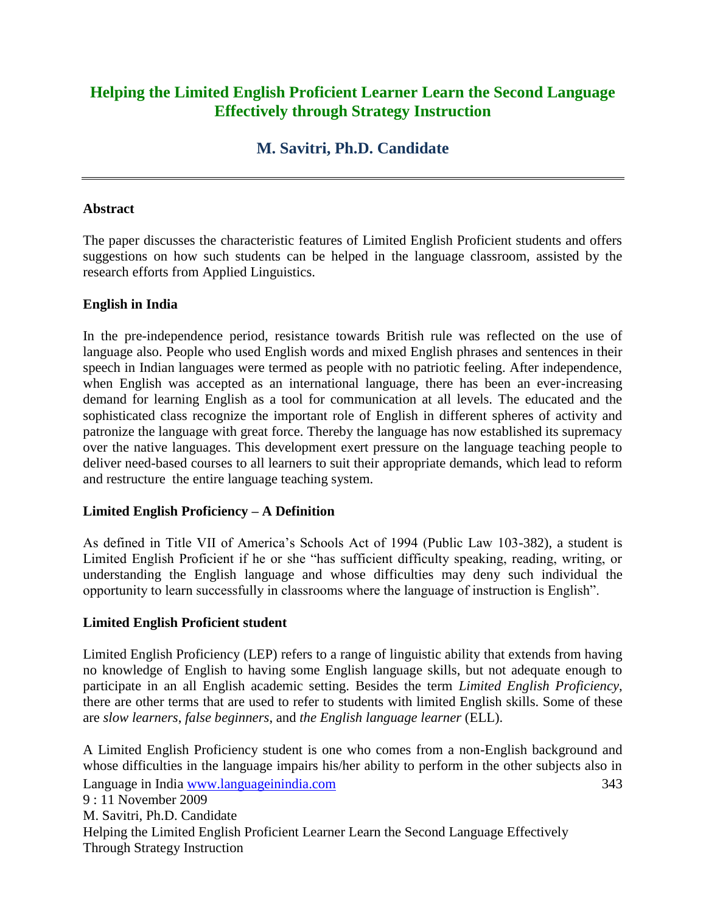# **Helping the Limited English Proficient Learner Learn the Second Language Effectively through Strategy Instruction**

# **M. Savitri, Ph.D. Candidate**

## **Abstract**

The paper discusses the characteristic features of Limited English Proficient students and offers suggestions on how such students can be helped in the language classroom, assisted by the research efforts from Applied Linguistics.

# **English in India**

In the pre-independence period, resistance towards British rule was reflected on the use of language also. People who used English words and mixed English phrases and sentences in their speech in Indian languages were termed as people with no patriotic feeling. After independence, when English was accepted as an international language, there has been an ever-increasing demand for learning English as a tool for communication at all levels. The educated and the sophisticated class recognize the important role of English in different spheres of activity and patronize the language with great force. Thereby the language has now established its supremacy over the native languages. This development exert pressure on the language teaching people to deliver need-based courses to all learners to suit their appropriate demands, which lead to reform and restructure the entire language teaching system.

# **Limited English Proficiency – A Definition**

As defined in Title VII of America's Schools Act of 1994 (Public Law 103-382), a student is Limited English Proficient if he or she "has sufficient difficulty speaking, reading, writing, or understanding the English language and whose difficulties may deny such individual the opportunity to learn successfully in classrooms where the language of instruction is English".

# **Limited English Proficient student**

Limited English Proficiency (LEP) refers to a range of linguistic ability that extends from having no knowledge of English to having some English language skills, but not adequate enough to participate in an all English academic setting. Besides the term *Limited English Proficiency*, there are other terms that are used to refer to students with limited English skills. Some of these are *slow learners*, *false beginners*, and *the English language learner* (ELL).

Language in India www.languageinindia.com 343 9 : 11 November 2009 M. Savitri, Ph.D. Candidate Helping the Limited English Proficient Learner Learn the Second Language Effectively Through Strategy Instruction A Limited English Proficiency student is one who comes from a non-English background and whose difficulties in the language impairs his/her ability to perform in the other subjects also in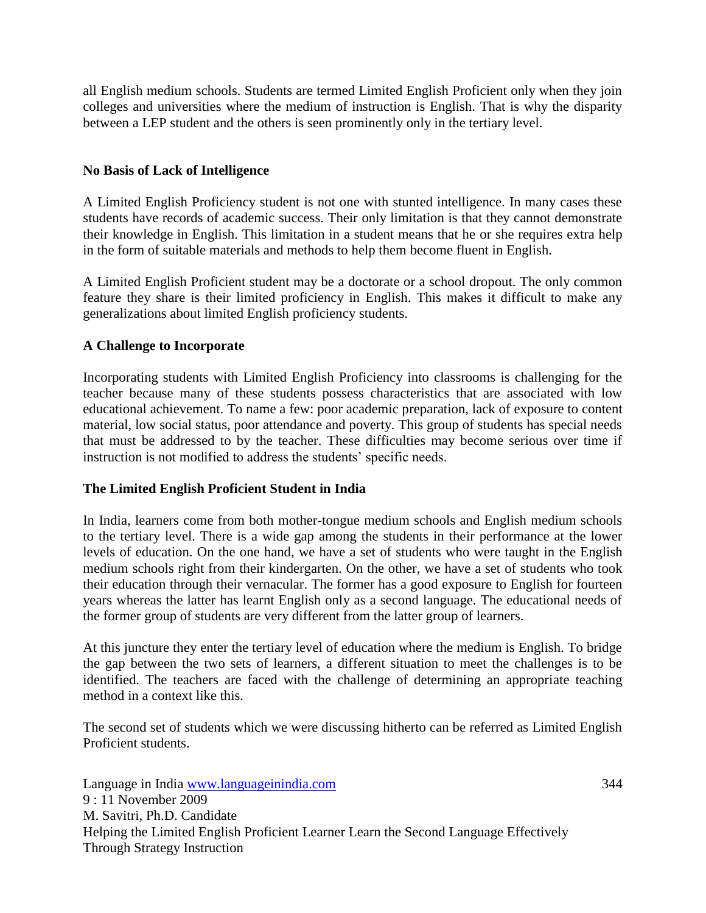all English medium schools. Students are termed Limited English Proficient only when they join colleges and universities where the medium of instruction is English. That is why the disparity between a LEP student and the others is seen prominently only in the tertiary level.

# **No Basis of Lack of Intelligence**

A Limited English Proficiency student is not one with stunted intelligence. In many cases these students have records of academic success. Their only limitation is that they cannot demonstrate their knowledge in English. This limitation in a student means that he or she requires extra help in the form of suitable materials and methods to help them become fluent in English.

A Limited English Proficient student may be a doctorate or a school dropout. The only common feature they share is their limited proficiency in English. This makes it difficult to make any generalizations about limited English proficiency students.

## **A Challenge to Incorporate**

Incorporating students with Limited English Proficiency into classrooms is challenging for the teacher because many of these students possess characteristics that are associated with low educational achievement. To name a few: poor academic preparation, lack of exposure to content material, low social status, poor attendance and poverty. This group of students has special needs that must be addressed to by the teacher. These difficulties may become serious over time if instruction is not modified to address the students' specific needs.

#### **The Limited English Proficient Student in India**

In India, learners come from both mother-tongue medium schools and English medium schools to the tertiary level. There is a wide gap among the students in their performance at the lower levels of education. On the one hand, we have a set of students who were taught in the English medium schools right from their kindergarten. On the other, we have a set of students who took their education through their vernacular. The former has a good exposure to English for fourteen years whereas the latter has learnt English only as a second language. The educational needs of the former group of students are very different from the latter group of learners.

At this juncture they enter the tertiary level of education where the medium is English. To bridge the gap between the two sets of learners, a different situation to meet the challenges is to be identified. The teachers are faced with the challenge of determining an appropriate teaching method in a context like this.

The second set of students which we were discussing hitherto can be referred as Limited English Proficient students.

Language in India www.languageinindia.com 344 9 : 11 November 2009 M. Savitri, Ph.D. Candidate Helping the Limited English Proficient Learner Learn the Second Language Effectively Through Strategy Instruction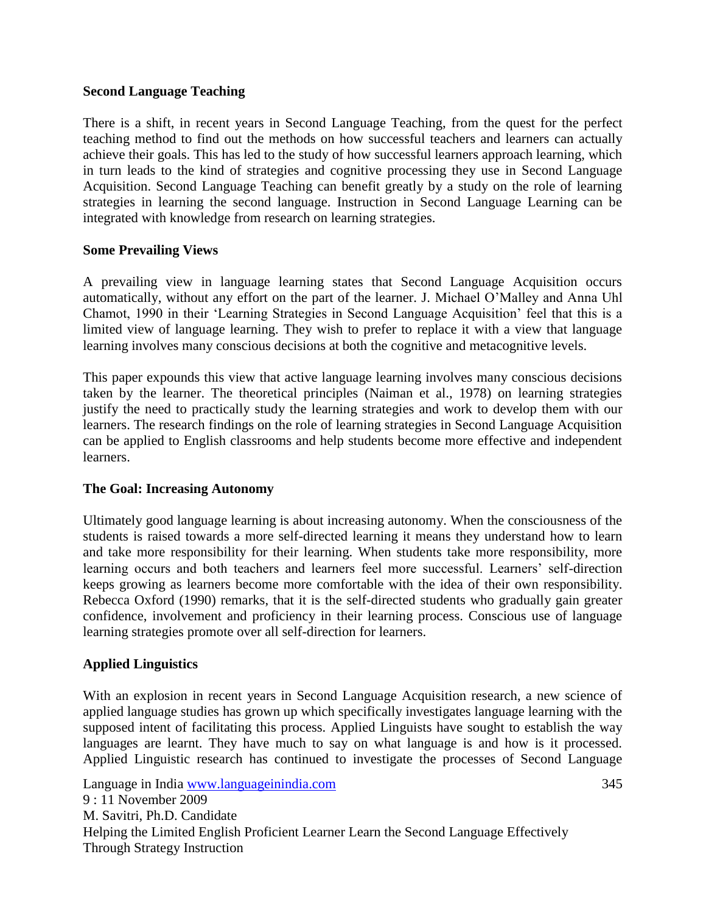#### **Second Language Teaching**

There is a shift, in recent years in Second Language Teaching, from the quest for the perfect teaching method to find out the methods on how successful teachers and learners can actually achieve their goals. This has led to the study of how successful learners approach learning, which in turn leads to the kind of strategies and cognitive processing they use in Second Language Acquisition. Second Language Teaching can benefit greatly by a study on the role of learning strategies in learning the second language. Instruction in Second Language Learning can be integrated with knowledge from research on learning strategies.

#### **Some Prevailing Views**

A prevailing view in language learning states that Second Language Acquisition occurs automatically, without any effort on the part of the learner. J. Michael O"Malley and Anna Uhl Chamot, 1990 in their "Learning Strategies in Second Language Acquisition" feel that this is a limited view of language learning. They wish to prefer to replace it with a view that language learning involves many conscious decisions at both the cognitive and metacognitive levels.

This paper expounds this view that active language learning involves many conscious decisions taken by the learner. The theoretical principles (Naiman et al., 1978) on learning strategies justify the need to practically study the learning strategies and work to develop them with our learners. The research findings on the role of learning strategies in Second Language Acquisition can be applied to English classrooms and help students become more effective and independent learners.

#### **The Goal: Increasing Autonomy**

Ultimately good language learning is about increasing autonomy. When the consciousness of the students is raised towards a more self-directed learning it means they understand how to learn and take more responsibility for their learning. When students take more responsibility, more learning occurs and both teachers and learners feel more successful. Learners' self-direction keeps growing as learners become more comfortable with the idea of their own responsibility. Rebecca Oxford (1990) remarks, that it is the self-directed students who gradually gain greater confidence, involvement and proficiency in their learning process. Conscious use of language learning strategies promote over all self-direction for learners.

#### **Applied Linguistics**

With an explosion in recent years in Second Language Acquisition research, a new science of applied language studies has grown up which specifically investigates language learning with the supposed intent of facilitating this process. Applied Linguists have sought to establish the way languages are learnt. They have much to say on what language is and how is it processed. Applied Linguistic research has continued to investigate the processes of Second Language

Language in India www.languageinindia.com 345 9 : 11 November 2009 M. Savitri, Ph.D. Candidate Helping the Limited English Proficient Learner Learn the Second Language Effectively Through Strategy Instruction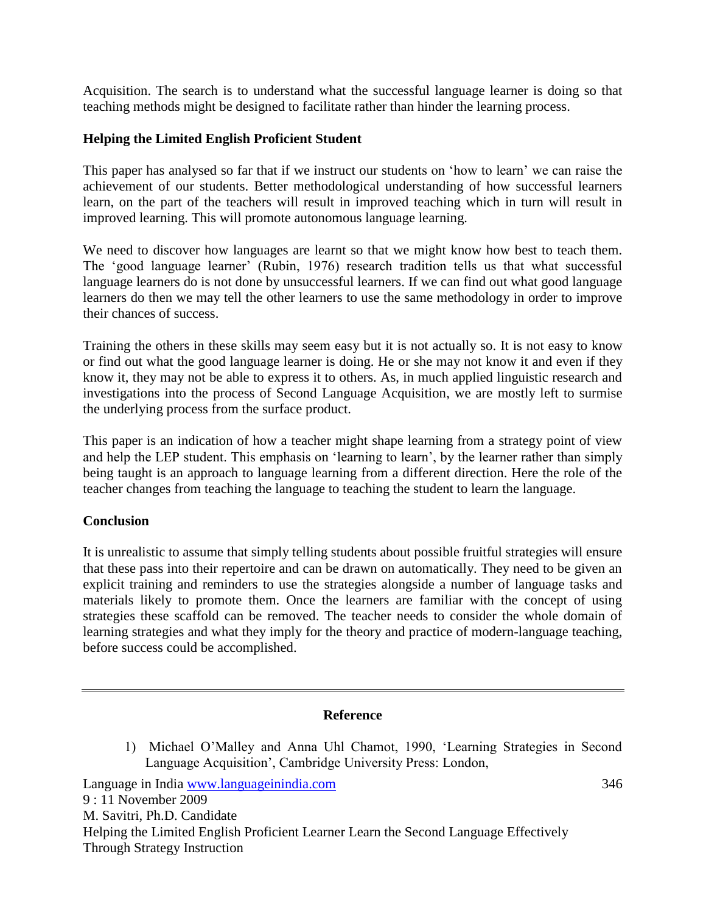Acquisition. The search is to understand what the successful language learner is doing so that teaching methods might be designed to facilitate rather than hinder the learning process.

## **Helping the Limited English Proficient Student**

This paper has analysed so far that if we instruct our students on "how to learn" we can raise the achievement of our students. Better methodological understanding of how successful learners learn, on the part of the teachers will result in improved teaching which in turn will result in improved learning. This will promote autonomous language learning.

We need to discover how languages are learnt so that we might know how best to teach them. The 'good language learner' (Rubin, 1976) research tradition tells us that what successful language learners do is not done by unsuccessful learners. If we can find out what good language learners do then we may tell the other learners to use the same methodology in order to improve their chances of success.

Training the others in these skills may seem easy but it is not actually so. It is not easy to know or find out what the good language learner is doing. He or she may not know it and even if they know it, they may not be able to express it to others. As, in much applied linguistic research and investigations into the process of Second Language Acquisition, we are mostly left to surmise the underlying process from the surface product.

This paper is an indication of how a teacher might shape learning from a strategy point of view and help the LEP student. This emphasis on 'learning to learn', by the learner rather than simply being taught is an approach to language learning from a different direction. Here the role of the teacher changes from teaching the language to teaching the student to learn the language.

#### **Conclusion**

It is unrealistic to assume that simply telling students about possible fruitful strategies will ensure that these pass into their repertoire and can be drawn on automatically. They need to be given an explicit training and reminders to use the strategies alongside a number of language tasks and materials likely to promote them. Once the learners are familiar with the concept of using strategies these scaffold can be removed. The teacher needs to consider the whole domain of learning strategies and what they imply for the theory and practice of modern-language teaching, before success could be accomplished.

#### **Reference**

1) Michael O"Malley and Anna Uhl Chamot, 1990, "Learning Strategies in Second Language Acquisition", Cambridge University Press: London,

Language in India www.languageinindia.com 346 9 : 11 November 2009 M. Savitri, Ph.D. Candidate Helping the Limited English Proficient Learner Learn the Second Language Effectively Through Strategy Instruction